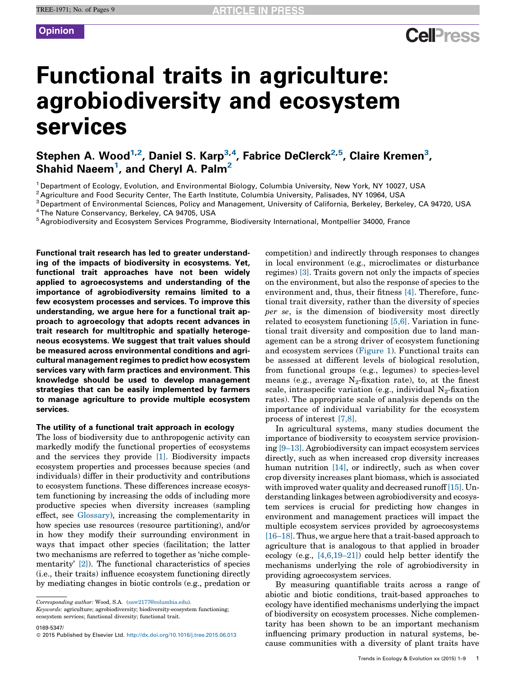## **Cell**<sup>ress</sup>

# Functional traits in agriculture: agrobiodiversity and ecosystem services

### Stephen A. Wood<sup>1,2</sup>, Daniel S. Karp<sup>3,4</sup>, Fabrice DeClerck<sup>2,5</sup>, Claire Kremen<sup>3</sup>, Shahid Naeem $^1$ , and Cheryl A. Palm $^2$

<sup>1</sup> Department of Ecology, Evolution, and Environmental Biology, Columbia University, New York, NY 10027, USA  $^2$  Agriculture and Food Security Center, The Earth Institute, Columbia University, Palisades, NY 10964, USA

Functional trait research has led to greater understanding of the impacts of biodiversity in ecosystems. Yet, functional trait approaches have not been widely applied to agroecosystems and understanding of the importance of agrobiodiversity remains limited to a few ecosystem processes and services. To improve this understanding, we argue here for a functional trait approach to agroecology that adopts recent advances in trait research for multitrophic and spatially heterogeneous ecosystems. We suggest that trait values should be measured across environmental conditions and agricultural management regimes to predict how ecosystem services vary with farm practices and environment. This knowledge should be used to develop management strategies that can be easily implemented by farmers to manage agriculture to provide multiple ecosystem services.

#### The utility of a functional trait approach in ecology

The loss of biodiversity due to anthropogenic activity can markedly modify the functional properties of ecosystems and the services they provide [1]. Biodiversity impacts ecosystem properties and processes because species (and individuals) differ in their productivity and contributions to ecosystem functions. These differences increase ecosystem functioning by increasing the odds of including more productive species when diversity increases (sampling effect, see Glossary), increasing the complementarity in how species use resources (resource partitioning), and/or in how they modify their surrounding environment in ways that impact other species (facilitation; the latter two mechanisms are referred to together as 'niche complementarity' [2]). The functional characteristics of species (i.e., their traits) influence ecosystem functioning directly by mediating changes in biotic controls (e.g., predation or

Keywords: agriculture; agrobiodiversity; biodiversity-ecosystem functioning; ecosystem services; functional diversity; functional trait.

0169-5347/

competition) and indirectly through responses to changes in local environment (e.g., microclimates or disturbance regimes) [3]. Traits govern not only the impacts of species on the environment, but also the response of species to the environment and, thus, their fitness [4]. Therefore, functional trait diversity, rather than the diversity of species per se, is the dimension of biodiversity most directly related to ecosystem functioning [5,6]. Variation in functional trait diversity and composition due to land management can be a strong driver of ecosystem functioning and ecosystem services (Figure 1). Functional traits can be assessed at different levels of biological resolution, from functional groups (e.g., legumes) to species-level means (e.g., average  $N_2$ -fixation rate), to, at the finest scale, intraspecific variation (e.g., individual  $N_2$ -fixation rates). The appropriate scale of analysis depends on the importance of individual variability for the ecosystem process of interest [7,8].

In agricultural systems, many studies document the importance of biodiversity to ecosystem service provisioning [9–13]. Agrobiodiversity can impact ecosystem services directly, such as when increased crop diversity increases human nutrition [14], or indirectly, such as when cover crop diversity increases plant biomass, which is associated with improved water quality and decreased runoff [15]. Understanding linkages between agrobiodiversity and ecosystem services is crucial for predicting how changes in environment and management practices will impact the multiple ecosystem services provided by agroecosystems [16–18]. Thus, we argue here that a trait-based approach to agriculture that is analogous to that applied in broader ecology (e.g., [4,6,19–21]) could help better identify the mechanisms underlying the role of agrobiodiversity in providing agroecosystem services.

By measuring quantifiable traits across a range of abiotic and biotic conditions, trait-based approaches to ecology have identified mechanisms underlying the impact of biodiversity on ecosystem processes. Niche complementarity has been shown to be an important mechanism influencing primary production in natural systems, because communities with a diversity of plant traits have

Corresponding author: Wood, S.A. (saw2177@columbia.edu).

<sup>© 2015</sup> Published by Elsevier Ltd. http://dx.doi.org/10.1016/j.tree.2015.06.013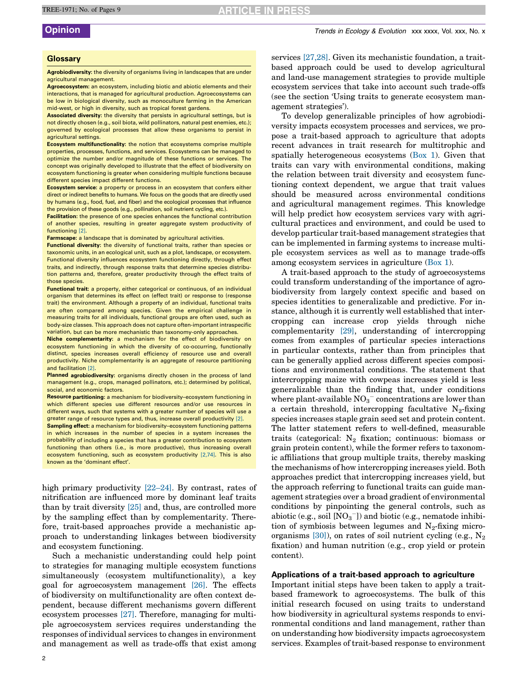### **ARTICLE IN PRESS**

#### **Opinion** Trends in Ecology & Evolution xxx xxxx, Vol. xxx, No. x

#### **Glossarv**

Agrobiodiversity: the diversity of organisms living in landscapes that are under agricultural management.

Agroecosystem: an ecosystem, including biotic and abiotic elements and their interactions, that is managed for agricultural production. Agroecosystems can be low in biological diversity, such as monoculture farming in the American mid-west, or high in diversity, such as tropical forest gardens.

Associated diversity: the diversity that persists in agricultural settings, but is not directly chosen (e.g., soil biota, wild pollinators, natural pest enemies, etc.); governed by ecological processes that allow these organisms to persist in agricultural settings.

Ecosystem multifunctionality: the notion that ecosystems comprise multiple properties, processes, functions, and services. Ecosystems can be managed to optimize the number and/or magnitude of these functions or services. The concept was originally developed to illustrate that the effect of biodiversity on ecosystem functioning is greater when considering multiple functions because different species impact different functions.

Ecosystem service: a property or process in an ecosystem that confers either direct or indirect benefits to humans. We focus on the goods that are directly used by humans (e.g., food, fuel, and fiber) and the ecological processes that influence the provision of these goods (e.g., pollination, soil nutrient cycling, etc.).

Facilitation: the presence of one species enhances the functional contribution of another species, resulting in greater aggregate system productivity of functioning [2].

Farmscape: a landscape that is dominated by agricultural activities.

Functional diversity: the diversity of functional traits, rather than species or taxonomic units, in an ecological unit, such as a plot, landscape, or ecosystem. Functional diversity influences ecosystem functioning directly, through effect traits, and indirectly, through response traits that determine species distribution patterns and, therefore, greater productivity through the effect traits of those species.

Functional trait: a property, either categorical or continuous, of an individual organism that determines its effect on (effect trait) or response to (response trait) the environment. Although a property of an individual, functional traits are often compared among species. Given the empirical challenge in measuring traits for all individuals, functional groups are often used, such as body-size classes. This approach does not capture often-important intraspecific variation, but can be more mechanistic than taxonomy-only approaches.

Niche complementarity: a mechanism for the effect of biodiversity on ecosystem functioning in which the diversity of co-occurring, functionally distinct, species increases overall efficiency of resource use and overall productivity. Niche complementarity is an aggregate of resource partitioning and facilitation [2].

Planned agrobiodiversity: organisms directly chosen in the process of land management (e.g., crops, managed pollinators, etc.); determined by political, social, and economic factors.

Resource partitioning: a mechanism for biodiversity–ecosystem functioning in which different species use different resources and/or use resources in different ways, such that systems with a greater number of species will use a greater range of resource types and, thus, increase overall productivity [2].

Sampling effect: a mechanism for biodiversity–ecosystem functioning patterns in which increases in the number of species in a system increases the probability of including a species that has a greater contribution to ecosystem functioning than others (i.e., is more productive), thus increasing overall ecosystem functioning, such as ecosystem productivity [2,74]. This is also known as the 'dominant effect'.

high primary productivity  $[22-24]$ . By contrast, rates of nitrification are influenced more by dominant leaf traits than by trait diversity [25] and, thus, are controlled more by the sampling effect than by complementarity. Therefore, trait-based approaches provide a mechanistic approach to understanding linkages between biodiversity and ecosystem functioning.

Such a mechanistic understanding could help point to strategies for managing multiple ecosystem functions simultaneously (ecosystem multifunctionality), a key goal for agroecosystem management [26]. The effects of biodiversity on multifunctionality are often context dependent, because different mechanisms govern different ecosystem processes [27]. Therefore, managing for multiple agroecosystem services requires understanding the responses of individual services to changes in environment and management as well as trade-offs that exist among

and land-use management strategies to provide multiple ecosystem services that take into account such trade-offs (see the section 'Using traits to generate ecosystem management strategies'). To develop generalizable principles of how agrobiodi-

versity impacts ecosystem processes and services, we propose a trait-based approach to agriculture that adopts recent advances in trait research for multitrophic and spatially heterogeneous ecosystems  $(Box 1)$ . Given that traits can vary with environmental conditions, making the relation between trait diversity and ecosystem functioning context dependent, we argue that trait values should be measured across environmental conditions and agricultural management regimes. This knowledge will help predict how ecosystem services vary with agricultural practices and environment, and could be used to develop particular trait-based management strategies that can be implemented in farming systems to increase multiple ecosystem services as well as to manage trade-offs among ecosystem services in agriculture (Box 1).

services [27,28]. Given its mechanistic foundation, a traitbased approach could be used to develop agricultural

A trait-based approach to the study of agroecosystems could transform understanding of the importance of agrobiodiversity from largely context specific and based on species identities to generalizable and predictive. For instance, although it is currently well established that intercropping can increase crop yields through niche complementarity [29], understanding of intercropping comes from examples of particular species interactions in particular contexts, rather than from principles that can be generally applied across different species compositions and environmental conditions. The statement that intercropping maize with cowpeas increases yield is less generalizable than the finding that, under conditions where plant-available  $\mathrm{NO_3}^-$  concentrations are lower than a certain threshold, intercropping facultative  $N_2$ -fixing species increases staple grain seed set and protein content. The latter statement refers to well-defined, measurable traits (categorical:  $N_2$  fixation; continuous: biomass or grain protein content), while the former refers to taxonomic affiliations that group multiple traits, thereby masking the mechanisms of how intercropping increases yield. Both approaches predict that intercropping increases yield, but the approach referring to functional traits can guide management strategies over a broad gradient of environmental conditions by pinpointing the general controls, such as abiotic (e.g., soil  $[NO<sub>3</sub><sup>-</sup>])$  and biotic (e.g., nematode inhibition of symbiosis between legumes and  $N_2$ -fixing microorganisms  $[30]$ ), on rates of soil nutrient cycling (e.g.,  $N_2$ ) fixation) and human nutrition (e.g., crop yield or protein content).

#### Applications of a trait-based approach to agriculture

Important initial steps have been taken to apply a traitbased framework to agroecosystems. The bulk of this initial research focused on using traits to understand how biodiversity in agricultural systems responds to environmental conditions and land management, rather than on understanding how biodiversity impacts agroecosystem services. Examples of trait-based response to environment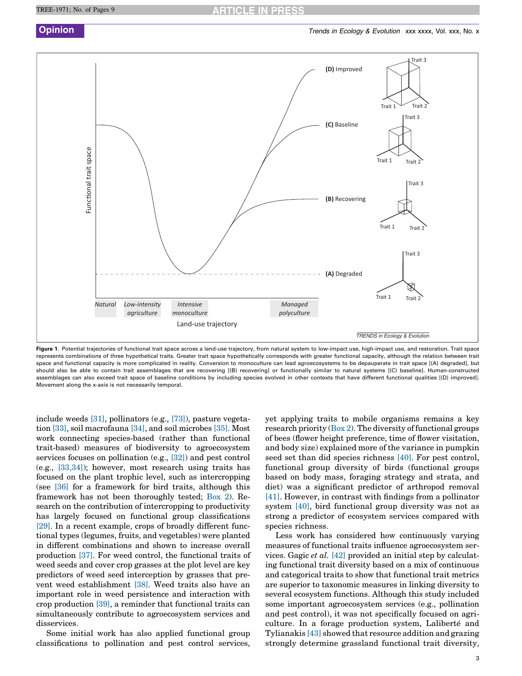

Figure 1. Potential trajectories of functional trait space across a land-use trajectory, from natural system to low-impact use, high-impact use, and restoration. Trait space represents combinations of three hypothetical traits. Greater trait space hypothetically corresponds with greater functional capacity, although the relation between trait space and functional capacity is more complicated in reality. Conversion to monoculture can lead agroecosystems to be depauperate in trait space [(A) degraded], but should also be able to contain trait assemblages that are recovering [(B) recovering] or functionally similar to natural systems [(C) baseline]. Human-constructed assemblages can also exceed trait space of baseline conditions by including species evolved in other contexts that have different functional qualities [(D) improved]. Movement along the x-axis is not necessarily temporal.

include weeds [31], pollinators (e.g., [73]), pasture vegetation [33], soil macrofauna [34], and soil microbes [35]. Most work connecting species-based (rather than functional trait-based) measures of biodiversity to agroecosystem services focuses on pollination (e.g., [32]) and pest control (e.g., [33,34]); however, most research using traits has focused on the plant trophic level, such as intercropping (see [36] for a framework for bird traits, although this framework has not been thoroughly tested; Box 2). Research on the contribution of intercropping to productivity has largely focused on functional group classifications [29]. In a recent example, crops of broadly different functional types (legumes, fruits, and vegetables) were planted in different combinations and shown to increase overall production [37]. For weed control, the functional traits of weed seeds and cover crop grasses at the plot level are key predictors of weed seed interception by grasses that prevent weed establishment [38]. Weed traits also have an important role in weed persistence and interaction with crop production [39], a reminder that functional traits can simultaneously contribute to agroecosystem services and disservices.

Some initial work has also applied functional group classifications to pollination and pest control services, yet applying traits to mobile organisms remains a key research priority (Box 2). The diversity of functional groups of bees (flower height preference, time of flower visitation, and body size) explained more of the variance in pumpkin seed set than did species richness [40]. For pest control, functional group diversity of birds (functional groups based on body mass, foraging strategy and strata, and diet) was a significant predictor of arthropod removal [41]. However, in contrast with findings from a pollinator system [40], bird functional group diversity was not as strong a predictor of ecosystem services compared with species richness.

Less work has considered how continuously varying measures of functional traits influence agroecosystem services. Gagic et al. [42] provided an initial step by calculating functional trait diversity based on a mix of continuous and categorical traits to show that functional trait metrics are superior to taxonomic measures in linking diversity to several ecosystem functions. Although this study included some important agroecosystem services (e.g., pollination and pest control), it was not specifically focused on agriculture. In a forage production system, Laliberté and Tylianakis [43] showed that resource addition and grazing strongly determine grassland functional trait diversity,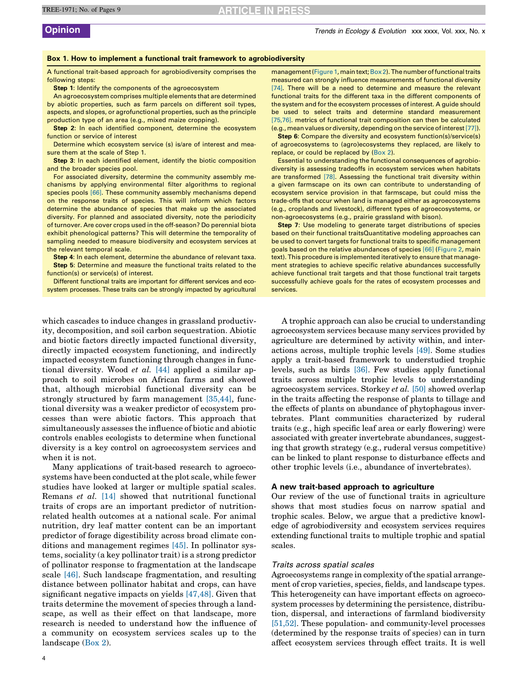### **IRTICLE IN PRESS**

#### Box 1. How to implement a functional trait framework to agrobiodiversity

A functional trait-based approach for agrobiodiversity comprises the following steps:

**Step 1:** Identify the components of the agroecosystem

An agroecosystem comprises multiple elements that are determined by abiotic properties, such as farm parcels on different soil types, aspects, and slopes, or agrofunctional properties, such as the principle production type of an area (e.g., mixed maize cropping).

Step 2: In each identified component, determine the ecosystem function or service of interest

Determine which ecosystem service (s) is/are of interest and measure them at the scale of Step 1.

Step 3: In each identified element, identify the biotic composition and the broader species pool.

For associated diversity, determine the community assembly mechanisms by applying environmental filter algorithms to regional species pools [66]. These community assembly mechanisms depend on the response traits of species. This will inform which factors determine the abundance of species that make up the associated diversity. For planned and associated diversity, note the periodicity of turnover. Are cover crops used in the off-season? Do perennial biota exhibit phenological patterns? This will determine the temporality of sampling needed to measure biodiversity and ecosystem services at the relevant temporal scale.

Step 4: In each element, determine the abundance of relevant taxa. Step 5: Determine and measure the functional traits related to the function(s) or service(s) of interest.

Different functional traits are important for different services and ecosystem processes. These traits can be strongly impacted by agricultural

which cascades to induce changes in grassland productivity, decomposition, and soil carbon sequestration. Abiotic and biotic factors directly impacted functional diversity, directly impacted ecosystem functioning, and indirectly impacted ecosystem functioning through changes in functional diversity. Wood et al. [44] applied a similar approach to soil microbes on African farms and showed that, although microbial functional diversity can be strongly structured by farm management [35,44], functional diversity was a weaker predictor of ecosystem processes than were abiotic factors. This approach that simultaneously assesses the influence of biotic and abiotic controls enables ecologists to determine when functional diversity is a key control on agroecosystem services and when it is not.

Many applications of trait-based research to agroecosystems have been conducted atthe plot scale, while fewer studies have looked at larger or multiple spatial scales. Remans et al. [14] showed that nutritional functional traits of crops are an important predictor of nutritionrelated health outcomes at a national scale. For animal nutrition, dry leaf matter content can be an important predictor of forage digestibility across broad climate conditions and management regimes [45]. In pollinator systems, sociality (a key pollinator trait) is a strong predictor of pollinator response to fragmentation at the landscape scale [46]. Such landscape fragmentation, and resulting distance between pollinator habitat and crops, can have significant negative impacts on yields [47,48]. Given that traits determine the movement of species through a landscape, as well as their effect on that landscape, more research is needed to understand how the influence of a community on ecosystem services scales up to the landscape (Box 2).

management (Figure 1, main text; Box 2). The number of functional traits measured can strongly influence measurements of functional diversity [74]. There will be a need to determine and measure the relevant functional traits for the different taxa in the different components of the system and for the ecosystem processes of interest. A guide should be used to select traits and determine standard measurement [75,76]. metrics of functional trait composition can then be calculated (e.g., mean values or diversity, depending on the service of interest [77]).

Step 6: Compare the diversity and ecosystem function(s)/service(s) of agroecosystems to (agro)ecosystems they replaced, are likely to replace, or could be replaced by (Box 2).

Essential to understanding the functional consequences of agrobiodiversity is assessing tradeoffs in ecosystem services when habitats are transformed [78]. Assessing the functional trait diversity within a given farmscape on its own can contribute to understanding of ecosystem service provision in that farmscape, but could miss the trade-offs that occur when land is managed either as agroecosystems (e.g., croplands and livestock), different types of agroecosystems, or non-agroecosystems (e.g., prairie grassland with bison).

Step 7: Use modeling to generate target distributions of species based on their functional traitsQuantitative modeling approaches can be used to convert targets for functional traits to specific management goals based on the relative abundances of species [66] (Figure 2, main text). This procedure is implemented iteratively to ensure that management strategies to achieve specific relative abundances successfully achieve functional trait targets and that those functional trait targets successfully achieve goals for the rates of ecosystem processes and services.

A trophic approach can also be crucial to understanding agroecosystem services because many services provided by agriculture are determined by activity within, and interactions across, multiple trophic levels [49]. Some studies apply a trait-based framework to understudied trophic levels, such as birds [36]. Few studies apply functional traits across multiple trophic levels to understanding agroecosystem services. Storkey et al. [50] showed overlap in the traits affecting the response of plants to tillage and the effects of plants on abundance of phytophagous invertebrates. Plant communities characterized by ruderal traits (e.g., high specific leaf area or early flowering) were associated with greater invertebrate abundances, suggesting that growth strategy (e.g., ruderal versus competitive) can be linked to plant response to disturbance effects and other trophic levels (i.e., abundance of invertebrates).

#### A new trait-based approach to agriculture

Our review of the use of functional traits in agriculture shows that most studies focus on narrow spatial and trophic scales. Below, we argue that a predictive knowledge of agrobiodiversity and ecosystem services requires extending functional traits to multiple trophic and spatial scales.

#### Traits across spatial scales

Agroecosystems range in complexity of the spatial arrangement of crop varieties, species, fields, and landscape types. This heterogeneity can have important effects on agroecosystem processes by determining the persistence, distribution, dispersal, and interactions of farmland biodiversity [51,52]. These population- and community-level processes (determined by the response traits of species) can in turn affect ecosystem services through effect traits. It is well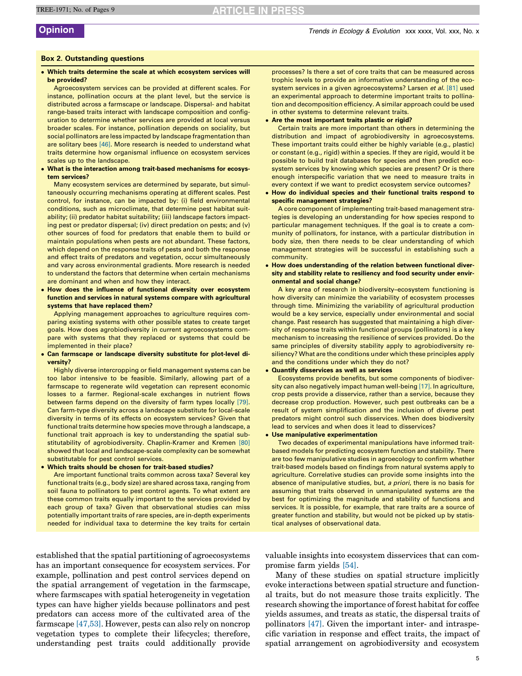### **ARTICLE IN PRESS**

#### Box 2. Outstanding questions

#### Which traits determine the scale at which ecosystem services will be provided?

Agroecosystem services can be provided at different scales. For instance, pollination occurs at the plant level, but the service is distributed across a farmscape or landscape. Dispersal- and habitat range-based traits interact with landscape composition and configuration to determine whether services are provided at local versus broader scales. For instance, pollination depends on sociality, but social pollinators are less impacted by landscape fragmentation than are solitary bees [46]. More research is needed to understand what traits determine how organismal influence on ecosystem services scales up to the landscape.

#### What is the interaction among trait-based mechanisms for ecosystem services?

Many ecosystem services are determined by separate, but simultaneously occurring mechanisms operating at different scales. Pest control, for instance, can be impacted by: (i) field environmental conditions, such as microclimate, that determine pest habitat suitability; (ii) predator habitat suitability; (iii) landscape factors impacting pest or predator dispersal; (iv) direct predation on pests; and (v) other sources of food for predators that enable them to build or maintain populations when pests are not abundant. These factors, which depend on the response traits of pests and both the response and effect traits of predators and vegetation, occur simultaneously and vary across environmental gradients. More research is needed to understand the factors that determine when certain mechanisms are dominant and when and how they interact.

• How does the influence of functional diversity over ecosystem function and services in natural systems compare with agricultural systems that have replaced them?

Applying management approaches to agriculture requires comparing existing systems with other possible states to create target goals. How does agrobiodiversity in current agroecosystems compare with systems that they replaced or systems that could be implemented in their place?

 Can farmscape or landscape diversity substitute for plot-level diversity?

Highly diverse intercropping or field management systems can be too labor intensive to be feasible. Similarly, allowing part of a farmscape to regenerate wild vegetation can represent economic losses to a farmer. Regional-scale exchanges in nutrient flows between farms depend on the diversity of farm types locally [79]. Can farm-type diversity across a landscape substitute for local-scale diversity in terms of its effects on ecosystem services? Given that functional traits determine how species move through a landscape, a functional trait approach is key to understanding the spatial substitutability of agrobiodiversity. Chaplin-Kramer and Kremen [80] showed that local and landscape-scale complexity can be somewhat substitutable for pest control services.

Which traits should be chosen for trait-based studies?

Are important functional traits common across taxa? Several key functional traits (e.g., body size) are shared across taxa,ranging from soil fauna to pollinators to pest control agents. To what extent are these common traits equally important to the services provided by each group of taxa? Given that observational studies can miss potentially important traits of rare species, are in-depth experiments needed for individual taxa to determine the key traits for certain

processes? Is there a set of core traits that can be measured across trophic levels to provide an informative understanding of the ecosystem services in a given agroecosystems? Larsen et al. [81] used an experimental approach to determine important traits to pollination and decomposition efficiency. A similar approach could be used in other systems to determine relevant traits.

#### Are the most important traits plastic or rigid?

Certain traits are more important than others in determining the distribution and impact of agrobiodiversity in agroecosystems. These important traits could either be highly variable (e.g., plastic) or constant (e.g., rigid) within a species. If they are rigid, would it be possible to build trait databases for species and then predict ecosystem services by knowing which species are present? Or is there enough interspecific variation that we need to measure traits in every context if we want to predict ecosystem service outcomes?

#### How do individual species and their functional traits respond to specific management strategies?

A core component of implementing trait-based management strategies is developing an understanding for how species respond to particular management techniques. If the goal is to create a community of pollinators, for instance, with a particular distribution in body size, then there needs to be clear understanding of which management strategies will be successful in establishing such a community.

• How does understanding of the relation between functional diversity and stability relate to resiliency and food security under environmental and social change?

A key area of research in biodiversity–ecosystem functioning is how diversity can minimize the variability of ecosystem processes through time. Minimizing the variability of agricultural production would be a key service, especially under environmental and social change. Past research has suggested that maintaining a high diversity of response traits within functional groups (pollinators) is a key mechanism to increasing the resilience of services provided. Do the same principles of diversity stability apply to agrobiodiversity resiliency? What are the conditions under which these principles apply and the conditions under which they do not?

#### Quantify disservices as well as services

Ecosystems provide benefits, but some components of biodiversity can also negatively impact human well-being [17]. In agriculture, crop pests provide a disservice, rather than a service, because they decrease crop production. However, such pest outbreaks can be a result of system simplification and the inclusion of diverse pest predators might control such disservices. When does biodiversity lead to services and when does it lead to disservices?

Use manipulative experimentation

Two decades of experimental manipulations have informed traitbased models for predicting ecosystem function and stability. There are too few manipulative studies in agroecology to confirm whether trait-based models based on findings from natural systems apply to agriculture. Correlative studies can provide some insights into the absence of manipulative studies, but, a priori, there is no basis for assuming that traits observed in unmanipulated systems are the best for optimizing the magnitude and stability of functions and services. It is possible, for example, that rare traits are a source of greater function and stability, but would not be picked up by statistical analyses of observational data.

established that the spatial partitioning of agroecosystems has an important consequence for ecosystem services. For example, pollination and pest control services depend on the spatial arrangement of vegetation in the farmscape, where farmscapes with spatial heterogeneity in vegetation types can have higher yields because pollinators and pest predators can access more of the cultivated area of the farmscape [47,53]. However, pests can also rely on noncrop vegetation types to complete their lifecycles; therefore, understanding pest traits could additionally provide

valuable insights into ecosystem disservices that can compromise farm yields [54].

Many of these studies on spatial structure implicitly evoke interactions between spatial structure and functional traits, but do not measure those traits explicitly. The research showing the importance of forest habitat for coffee yields assumes, and treats as static, the dispersal traits of pollinators [47]. Given the important inter- and intraspecific variation in response and effect traits, the impact of spatial arrangement on agrobiodiversity and ecosystem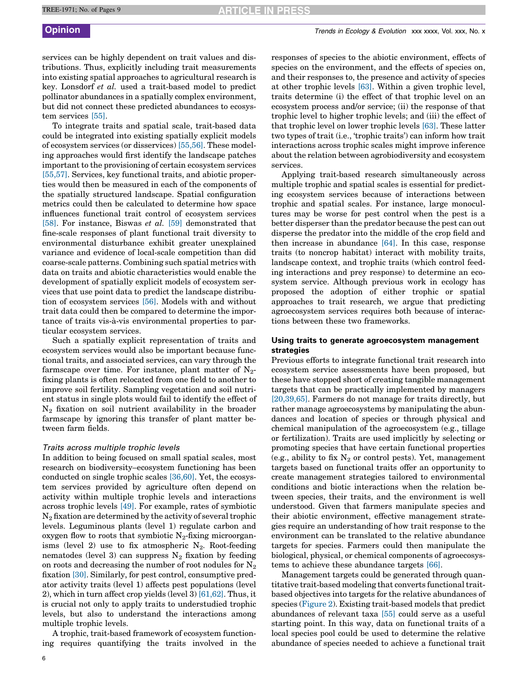services can be highly dependent on trait values and distributions. Thus, explicitly including trait measurements into existing spatial approaches to agricultural research is key. Lonsdorf et al. used a trait-based model to predict pollinator abundances in a spatially complex environment, but did not connect these predicted abundances to ecosystem services [55].

To integrate traits and spatial scale, trait-based data could be integrated into existing spatially explicit models of ecosystem services (or disservices) [55,56]. These modeling approaches would first identify the landscape patches important to the provisioning of certain ecosystem services [55,57]. Services, key functional traits, and abiotic properties would then be measured in each of the components of the spatially structured landscape. Spatial configuration metrics could then be calculated to determine how space influences functional trait control of ecosystem services [58]. For instance, Biswas et al. [59] demonstrated that fine-scale responses of plant functional trait diversity to environmental disturbance exhibit greater unexplained variance and evidence of local-scale competition than did coarse-scale patterns. Combining such spatial metrics with data on traits and abiotic characteristics would enable the development of spatially explicit models of ecosystem services that use point data to predict the landscape distribution of ecosystem services [56]. Models with and without trait data could then be compared to determine the importance of traits vis-à-vis environmental properties to particular ecosystem services.

Such a spatially explicit representation of traits and ecosystem services would also be important because functional traits, and associated services, can vary through the farmscape over time. For instance, plant matter of  $N_2$ fixing plants is often relocated from one field to another to improve soil fertility. Sampling vegetation and soil nutrient status in single plots would fail to identify the effect of  $N_2$  fixation on soil nutrient availability in the broader farmscape by ignoring this transfer of plant matter between farm fields.

### Traits across multiple trophic levels

In addition to being focused on small spatial scales, most research on biodiversity–ecosystem functioning has been conducted on single trophic scales [36,60]. Yet, the ecosystem services provided by agriculture often depend on activity within multiple trophic levels and interactions across trophic levels [49]. For example, rates of symbiotic  $N_2$  fixation are determined by the activity of several trophic levels. Leguminous plants (level 1) regulate carbon and oxygen flow to roots that symbiotic  $N_2$ -fixing microorganisms (level 2) use to fix atmospheric  $N_2$ . Root-feeding nematodes (level 3) can suppress  $N_2$  fixation by feeding on roots and decreasing the number of root nodules for  $N_2$ fixation [30]. Similarly, for pest control, consumptive predator activity traits (level 1) affects pest populations (level 2), which in turn affect crop yields (level 3) [61,62]. Thus, it is crucial not only to apply traits to understudied trophic levels, but also to understand the interactions among multiple trophic levels.

A trophic, trait-based framework of ecosystem functioning requires quantifying the traits involved in the responses of species to the abiotic environment, effects of species on the environment, and the effects of species on, and their responses to, the presence and activity of species at other trophic levels [63]. Within a given trophic level, traits determine (i) the effect of that trophic level on an ecosystem process and/or service; (ii) the response of that trophic level to higher trophic levels; and (iii) the effect of that trophic level on lower trophic levels [63]. These latter two types of trait (i.e., 'trophic traits') can inform how trait interactions across trophic scales might improve inference about the relation between agrobiodiversity and ecosystem services.

Applying trait-based research simultaneously across multiple trophic and spatial scales is essential for predicting ecosystem services because of interactions between trophic and spatial scales. For instance, large monocultures may be worse for pest control when the pest is a better disperser than the predator because the pest can out disperse the predator into the middle of the crop field and then increase in abundance [64]. In this case, response traits (to noncrop habitat) interact with mobility traits, landscape context, and trophic traits (which control feeding interactions and prey response) to determine an ecosystem service. Although previous work in ecology has proposed the adoption of either trophic or spatial approaches to trait research, we argue that predicting agroecosystem services requires both because of interactions between these two frameworks.

### Using traits to generate agroecosystem management strategies

Previous efforts to integrate functional trait research into ecosystem service assessments have been proposed, but these have stopped short of creating tangible management targets that can be practically implemented by managers [20,39,65]. Farmers do not manage for traits directly, but rather manage agroecosystems by manipulating the abundances and location of species or through physical and chemical manipulation of the agroecosystem (e.g., tillage or fertilization). Traits are used implicitly by selecting or promoting species that have certain functional properties (e.g., ability to fix  $N_2$  or control pests). Yet, management targets based on functional traits offer an opportunity to create management strategies tailored to environmental conditions and biotic interactions when the relation between species, their traits, and the environment is well understood. Given that farmers manipulate species and their abiotic environment, effective management strategies require an understanding of how trait response to the environment can be translated to the relative abundance targets for species. Farmers could then manipulate the biological, physical, or chemical components of agroecosystems to achieve these abundance targets [66].

Management targets could be generated through quantitative trait-based modeling that converts functional traitbased objectives into targets for the relative abundances of species (Figure 2). Existing trait-based models that predict abundances of relevant taxa [55] could serve as a useful starting point. In this way, data on functional traits of a local species pool could be used to determine the relative abundance of species needed to achieve a functional trait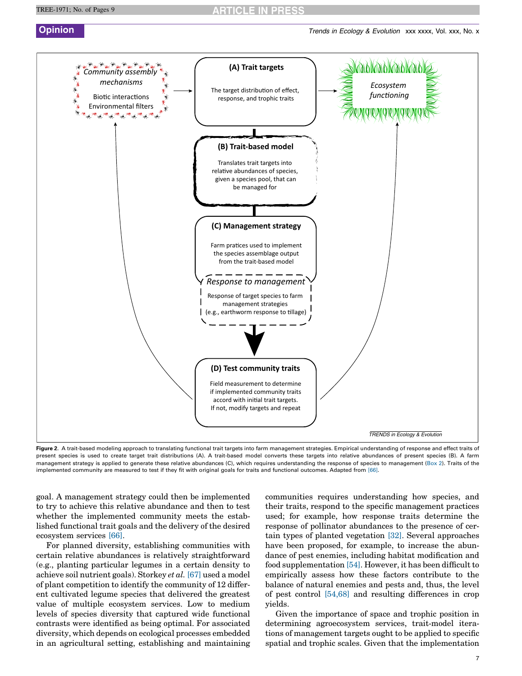

Figure 2. A trait-based modeling approach to translating functional trait targets into farm management strategies. Empirical understanding of response and effect traits of present species is used to create target trait distributions (A). A trait-based model converts these targets into relative abundances of present species (B). A farm management strategy is applied to generate these relative abundances (C), which requires understanding the response of species to management (Box 2). Traits of the implemented community are measured to test if they fit with original goals for traits and functional outcomes. Adapted from [66].

goal. A management strategy could then be implemented to try to achieve this relative abundance and then to test whether the implemented community meets the established functional trait goals and the delivery of the desired ecosystem services [66].

For planned diversity, establishing communities with certain relative abundances is relatively straightforward (e.g., planting particular legumes in a certain density to achieve soil nutrient goals). Storkey et al. [67] used a model of plant competition to identify the community of 12 different cultivated legume species that delivered the greatest value of multiple ecosystem services. Low to medium levels of species diversity that captured wide functional contrasts were identified as being optimal. For associated diversity, which depends on ecological processes embedded in an agricultural setting, establishing and maintaining

communities requires understanding how species, and their traits, respond to the specific management practices used; for example, how response traits determine the response of pollinator abundances to the presence of certain types of planted vegetation [32]. Several approaches have been proposed, for example, to increase the abundance of pest enemies, including habitat modification and food supplementation [54]. However, it has been difficult to empirically assess how these factors contribute to the balance of natural enemies and pests and, thus, the level of pest control [54,68] and resulting differences in crop yields.

Given the importance of space and trophic position in determining agroecosystem services, trait-model iterations of management targets ought to be applied to specific spatial and trophic scales. Given that the implementation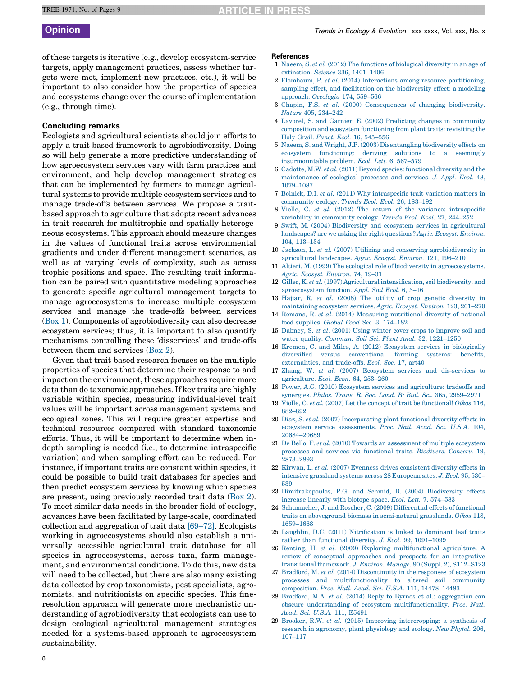of these targets is iterative (e.g., develop ecosystem-service targets, apply management practices, assess whether targets were met, implement new practices, etc.), it will be important to also consider how the properties of species and ecosystems change over the course of implementation (e.g., through time).

### Concluding remarks

Ecologists and agricultural scientists should join efforts to apply a trait-based framework to agrobiodiversity. Doing so will help generate a more predictive understanding of how agroecosystem services vary with farm practices and environment, and help develop management strategies that can be implemented by farmers to manage agricultural systems to provide multiple ecosystem services and to manage trade-offs between services. We propose a traitbased approach to agriculture that adopts recent advances in trait research for multitrophic and spatially heterogeneous ecosystems. This approach should measure changes in the values of functional traits across environmental gradients and under different management scenarios, as well as at varying levels of complexity, such as across trophic positions and space. The resulting trait information can be paired with quantitative modeling approaches to generate specific agricultural management targets to manage agroecosystems to increase multiple ecosystem services and manage the trade-offs between services (Box 1). Components of agrobiodiversity can also decrease ecosystem services; thus, it is important to also quantify mechanisms controlling these 'disservices' and trade-offs between them and services (Box 2).

Given that trait-based research focuses on the multiple properties of species that determine their response to and impact on the environment, these approaches require more data than do taxonomic approaches. If key traits are highly variable within species, measuring individual-level trait values will be important across management systems and ecological zones. This will require greater expertise and technical resources compared with standard taxonomic efforts. Thus, it will be important to determine when indepth sampling is needed (i.e., to determine intraspecific variation) and when sampling effort can be reduced. For instance, if important traits are constant within species, it could be possible to build trait databases for species and then predict ecosystem services by knowing which species are present, using previously recorded trait data (Box 2). To meet similar data needs in the broader field of ecology, advances have been facilitated by large-scale, coordinated collection and aggregation of trait data [69–72]. Ecologists working in agroecosystems should also establish a universally accessible agricultural trait database for all species in agroecosystems, across taxa, farm management, and environmental conditions. To do this, new data will need to be collected, but there are also many existing data collected by crop taxonomists, pest specialists, agronomists, and nutritionists on specific species. This fineresolution approach will generate more mechanistic understanding of agrobiodiversity that ecologists can use to design ecological agricultural management strategies needed for a systems-based approach to agroecosystem sustainability.

#### References

- 1 Naeem, S. et al. (2012) The functions of biological diversity in an age of extinction. Science 336, 1401–1406
- 2 Flombaum, P. et al. (2014) Interactions among resource partitioning, sampling effect, and facilitation on the biodiversity effect: a modeling approach. Oecologia 174, 559–566
- 3 Chapin, F.S. et al. (2000) Consequences of changing biodiversity. Nature 405, 234–242
- 4 Lavorel, S. and Garnier, E. (2002) Predicting changes in community composition and ecosystem functioning from plant traits: revisiting the Holy Grail. Funct. Ecol. 16, 545–556
- 5 Naeem, S. and Wright, J.P. (2003) Disentangling biodiversity effects on ecosystem functioning: deriving solutions to a seemingly insurmountable problem. Ecol. Lett. 6, 567–579
- 6 Cadotte, M.W. et al. (2011) Beyond species: functional diversity and the maintenance of ecological processes and services. J. Appl. Ecol. 48, 1079–1087
- 7 Bolnick, D.I. et al. (2011) Why intraspecific trait variation matters in community ecology. Trends Ecol. Evol. 26, 183–192
- 8 Violle, C. et al. (2012) The return of the variance: intraspecific variability in community ecology. Trends Ecol. Evol. 27, 244–252
- 9 Swift, M. (2004) Biodiversity and ecosystem services in agricultural landscapes? are we asking the right questions? Agric. Ecosyst. Environ. 104, 113–134
- 10 Jackson, L. et al. (2007) Utilizing and conserving agrobiodiversity in agricultural landscapes. Agric. Ecosyst. Environ. 121, 196–210
- 11 Altieri, M. (1999) The ecological role of biodiversity in agroecosystems. Agric. Ecosyst. Environ. 74, 19–31
- 12 Giller, K. et al. (1997) Agricultural intensification, soil biodiversity, and agroecosystem function. Appl. Soil Ecol. 6, 3–16
- 13 Hajjar, R. et al. (2008) The utility of crop genetic diversity in maintaining ecosystem services. Agric. Ecosyst. Environ. 123, 261–270
- 14 Remans, R. et al. (2014) Measuring nutritional diversity of national food supplies. Global Food Sec. 3, 174–182
- 15 Dabney, S. et al. (2001) Using winter cover crops to improve soil and water quality. Commun. Soil Sci. Plant Anal. 32, 1221-1250
- 16 Kremen, C. and Miles, A. (2012) Ecosystem services in biologically diversified versus conventional farming systems: benefits, externalities, and trade-offs. Ecol. Soc. 17, art40
- 17 Zhang, W. et al. (2007) Ecosystem services and dis-services to agriculture. Ecol. Econ. 64, 253–260
- 18 Power, A.G. (2010) Ecosystem services and agriculture: tradeoffs and synergies. Philos. Trans. R. Soc. Lond. B: Biol. Sci. 365, 2959–2971
- 19 Violle, C. et al. (2007) Let the concept of trait be functional! Oikos 116, 882–892
- 20 Díaz, S. et al. (2007) Incorporating plant functional diversity effects in ecosystem service assessments. Proc. Natl. Acad. Sci. U.S.A. 104, 20684–20689
- 21 De Bello, F. et al. (2010) Towards an assessment of multiple ecosystem processes and services via functional traits. Biodivers. Conserv. 19, 2873–2893
- 22 Kirwan, L. et al. (2007) Evenness drives consistent diversity effects in intensive grassland systems across 28 European sites. J. Ecol. 95, 530– 539
- 23 Dimitrakopoulos, P.G. and Schmid, B. (2004) Biodiversity effects increase linearly with biotope space. Ecol. Lett. 7, 574–583
- 24 Schumacher, J. and Roscher, C. (2009) Differential effects of functional traits on aboveground biomass in semi-natural grasslands. Oikos 118, 1659–1668
- 25 Laughlin, D.C. (2011) Nitrification is linked to dominant leaf traits rather than functional diversity. J. Ecol. 99, 1091–1099
- 26 Renting, H. et al. (2009) Exploring multifunctional agriculture. A review of conceptual approaches and prospects for an integrative transitional framework. J. Environ. Manage. 90 (Suppl. 2), S112–S123
- 27 Bradford, M. et al. (2014) Discontinuity in the responses of ecosystem processes and multifunctionality to altered soil community composition. Proc. Natl. Acad. Sci. U.S.A. 111, 14478–14483
- 28 Bradford, M.A. et al. (2014) Reply to Byrnes et al.: aggregation can obscure understanding of ecosystem multifunctionality. Proc. Natl. Acad. Sci. U.S.A. 111, E5491
- 29 Brooker, R.W. et al. (2015) Improving intercropping: a synthesis of research in agronomy, plant physiology and ecology. New Phytol. 206, 107–117